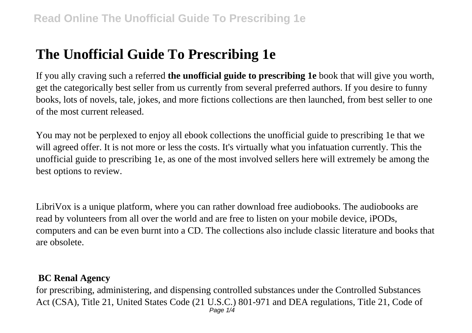# **The Unofficial Guide To Prescribing 1e**

If you ally craving such a referred **the unofficial guide to prescribing 1e** book that will give you worth, get the categorically best seller from us currently from several preferred authors. If you desire to funny books, lots of novels, tale, jokes, and more fictions collections are then launched, from best seller to one of the most current released.

You may not be perplexed to enjoy all ebook collections the unofficial guide to prescribing 1e that we will agreed offer. It is not more or less the costs. It's virtually what you infatuation currently. This the unofficial guide to prescribing 1e, as one of the most involved sellers here will extremely be among the best options to review.

LibriVox is a unique platform, where you can rather download free audiobooks. The audiobooks are read by volunteers from all over the world and are free to listen on your mobile device, iPODs, computers and can be even burnt into a CD. The collections also include classic literature and books that are obsolete.

## **BC Renal Agency**

for prescribing, administering, and dispensing controlled substances under the Controlled Substances Act (CSA), Title 21, United States Code (21 U.S.C.) 801-971 and DEA regulations, Title 21, Code of Page 1/4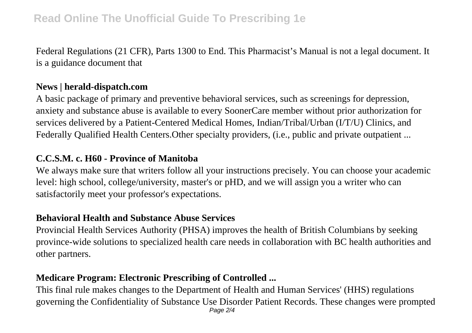Federal Regulations (21 CFR), Parts 1300 to End. This Pharmacist's Manual is not a legal document. It is a guidance document that

#### **News | herald-dispatch.com**

A basic package of primary and preventive behavioral services, such as screenings for depression, anxiety and substance abuse is available to every SoonerCare member without prior authorization for services delivered by a Patient-Centered Medical Homes, Indian/Tribal/Urban (I/T/U) Clinics, and Federally Qualified Health Centers.Other specialty providers, (i.e., public and private outpatient ...

#### **C.C.S.M. c. H60 - Province of Manitoba**

We always make sure that writers follow all your instructions precisely. You can choose your academic level: high school, college/university, master's or pHD, and we will assign you a writer who can satisfactorily meet your professor's expectations.

#### **Behavioral Health and Substance Abuse Services**

Provincial Health Services Authority (PHSA) improves the health of British Columbians by seeking province-wide solutions to specialized health care needs in collaboration with BC health authorities and other partners.

# **Medicare Program: Electronic Prescribing of Controlled ...**

This final rule makes changes to the Department of Health and Human Services' (HHS) regulations governing the Confidentiality of Substance Use Disorder Patient Records. These changes were prompted Page 2/4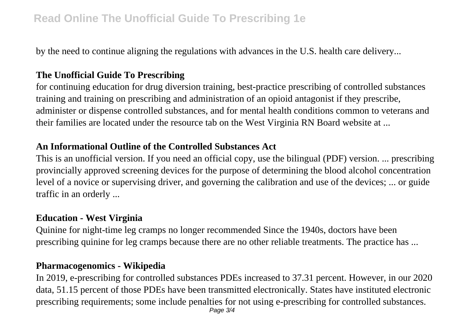# **Read Online The Unofficial Guide To Prescribing 1e**

by the need to continue aligning the regulations with advances in the U.S. health care delivery...

# **The Unofficial Guide To Prescribing**

for continuing education for drug diversion training, best-practice prescribing of controlled substances training and training on prescribing and administration of an opioid antagonist if they prescribe, administer or dispense controlled substances, and for mental health conditions common to veterans and their families are located under the resource tab on the West Virginia RN Board website at ...

## **An Informational Outline of the Controlled Substances Act**

This is an unofficial version. If you need an official copy, use the bilingual (PDF) version. ... prescribing provincially approved screening devices for the purpose of determining the blood alcohol concentration level of a novice or supervising driver, and governing the calibration and use of the devices; ... or guide traffic in an orderly ...

## **Education - West Virginia**

Quinine for night-time leg cramps no longer recommended Since the 1940s, doctors have been prescribing quinine for leg cramps because there are no other reliable treatments. The practice has ...

## **Pharmacogenomics - Wikipedia**

In 2019, e-prescribing for controlled substances PDEs increased to 37.31 percent. However, in our 2020 data, 51.15 percent of those PDEs have been transmitted electronically. States have instituted electronic prescribing requirements; some include penalties for not using e-prescribing for controlled substances.